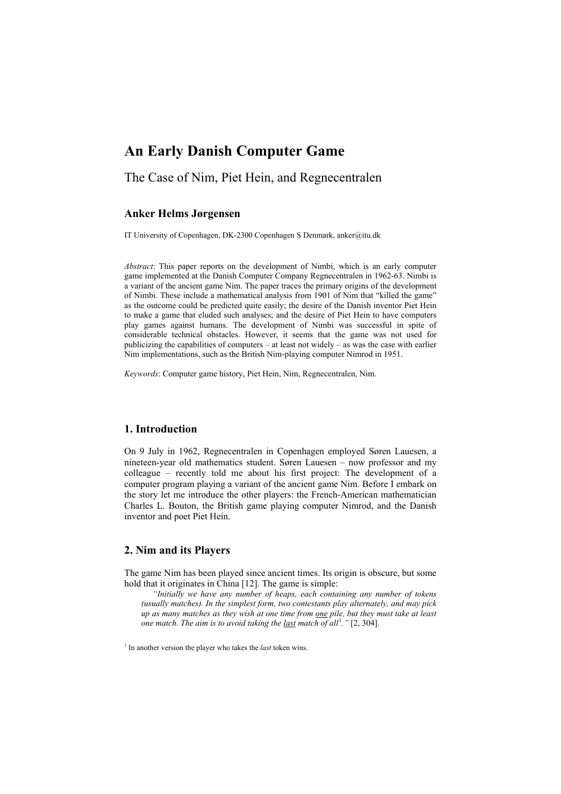# **An Early Danish Computer Game**

The Case of Nim, Piet Hein, and Regnecentralen

#### **Anker Helms Jørgensen**

IT University of Copenhagen, DK-2300 Copenhagen S Denmark, anker@itu.dk

*Abstract*: This paper reports on the development of Nimbi, which is an early computer game implemented at the Danish Computer Company Regnecentralen in 1962-63. Nimbi is a variant of the ancient game Nim. The paper traces the primary origins of the development of Nimbi. These include a mathematical analysis from 1901 of Nim that "killed the game" as the outcome could be predicted quite easily; the desire of the Danish inventor Piet Hein to make a game that eluded such analyses; and the desire of Piet Hein to have computers play games against humans. The development of Nimbi was successful in spite of considerable technical obstacles. However, it seems that the game was not used for publicizing the capabilities of computers – at least not widely – as was the case with earlier Nim implementations, such as the British Nim-playing computer Nimrod in 1951.

*Keywords*: Computer game history, Piet Hein, Nim, Regnecentralen, Nim.

## **1. Introduction**

On 9 July in 1962, Regnecentralen in Copenhagen employed Søren Lauesen, a nineteen-year old mathematics student. Søren Lauesen – now professor and my colleague – recently told me about his first project: The development of a computer program playing a variant of the ancient game Nim. Before I embark on the story let me introduce the other players: the French-American mathematician Charles L. Bouton, the British game playing computer Nimrod, and the Danish inventor and poet Piet Hein.

### **2. Nim and its Players**

The game Nim has been played since ancient times. Its origin is obscure, but some hold that it originates in China [12]. The game is simple:

*"Initially we have any number of heaps, each containing any number of tokens (usually matches). In the simplest form, two contestants play alternately, and may pick up as many matches as they wish at one time from one pile, but they must take at least one match. The aim is to avoid taking the last match of all*[1](#page-0-0) *."* [2, 304].

<span id="page-0-1"></span><span id="page-0-0"></span><sup>&</sup>lt;sup>1</sup> In another version the player who takes the *last* token wins.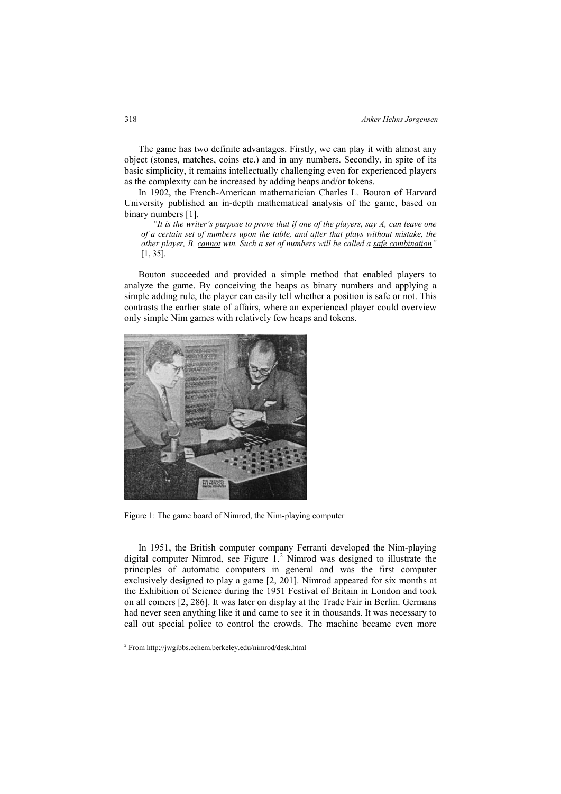The game has two definite advantages. Firstly, we can play it with almost any object (stones, matches, coins etc.) and in any numbers. Secondly, in spite of its basic simplicity, it remains intellectually challenging even for experienced players as the complexity can be increased by adding heaps and/or tokens.

In 1902, the French-American mathematician Charles L. Bouton of Harvard University published an in-depth mathematical analysis of the game, based on binary numbers [1].

*"It is the writer's purpose to prove that if one of the players, say A, can leave one of a certain set of numbers upon the table, and after that plays without mistake, the other player, B, cannot win. Such a set of numbers will be called a safe combination"*  [1, 35].

Bouton succeeded and provided a simple method that enabled players to analyze the game. By conceiving the heaps as binary numbers and applying a simple adding rule, the player can easily tell whether a position is safe or not. This contrasts the earlier state of affairs, where an experienced player could overview only simple Nim games with relatively few heaps and tokens.



Figure 1: The game board of Nimrod, the Nim-playing computer

In 1951, the British computer company Ferranti developed the Nim-playing digital computer Nimrod, see Figure 1.[2](#page-0-1) Nimrod was designed to illustrate the principles of automatic computers in general and was the first computer exclusively designed to play a game [2, 201]. Nimrod appeared for six months at the Exhibition of Science during the 1951 Festival of Britain in London and took on all comers [2, 286]. It was later on display at the Trade Fair in Berlin. Germans had never seen anything like it and came to see it in thousands. It was necessary to call out special police to control the crowds. The machine became even more

<sup>2</sup> From http://jwgibbs.cchem.berkeley.edu/nimrod/desk.html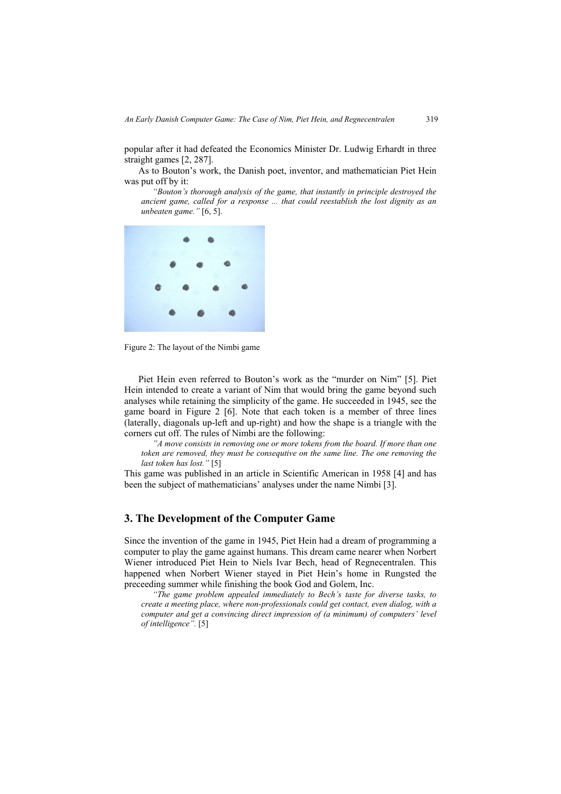popular after it had defeated the Economics Minister Dr. Ludwig Erhardt in three straight games [2, 287].

As to Bouton's work, the Danish poet, inventor, and mathematician Piet Hein was put off by it:

*"Bouton's thorough analysis of the game, that instantly in principle destroyed the ancient game, called for a response ... that could reestablish the lost dignity as an unbeaten game."* [6, 5].



Figure 2: The layout of the Nimbi game

Piet Hein even referred to Bouton's work as the "murder on Nim" [5]. Piet Hein intended to create a variant of Nim that would bring the game beyond such analyses while retaining the simplicity of the game. He succeeded in 1945, see the game board in Figure 2 [6]. Note that each token is a member of three lines (laterally, diagonals up-left and up-right) and how the shape is a triangle with the corners cut off. The rules of Nimbi are the following:

*"A move consists in removing one or more tokens from the board. If more than one*  token are removed, they must be consequtive on the same line. The one removing the *last token has lost."* [5]

This game was published in an article in Scientific American in 1958 [4] and has been the subject of mathematicians' analyses under the name Nimbi [3].

### **3. The Development of the Computer Game**

Since the invention of the game in 1945, Piet Hein had a dream of programming a computer to play the game against humans. This dream came nearer when Norbert Wiener introduced Piet Hein to Niels Ivar Bech, head of Regnecentralen. This happened when Norbert Wiener stayed in Piet Hein's home in Rungsted the preceeding summer while finishing the book God and Golem, Inc.

*"The game problem appealed immediately to Bech's taste for diverse tasks, to create a meeting place, where non-professionals could get contact, even dialog, with a computer and get a convincing direct impression of (a minimum) of computers' level of intelligence".* [5]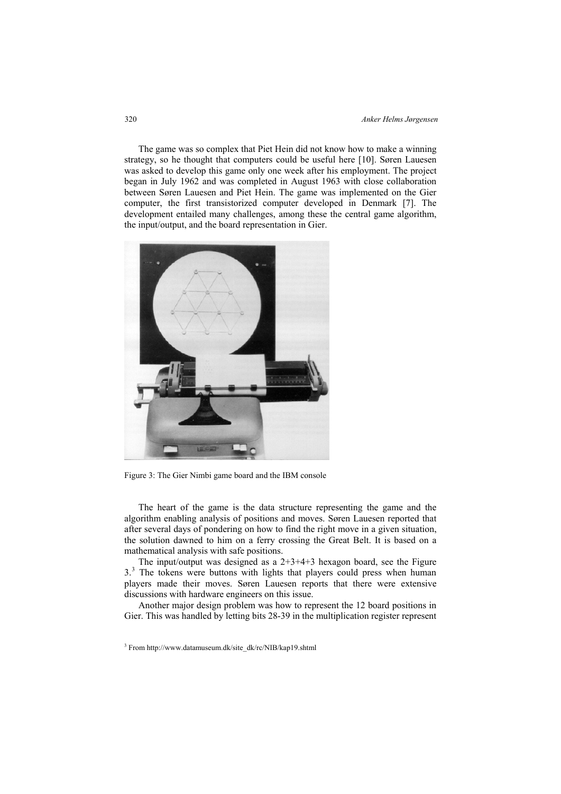The game was so complex that Piet Hein did not know how to make a winning strategy, so he thought that computers could be useful here [10]. Søren Lauesen was asked to develop this game only one week after his employment. The project began in July 1962 and was completed in August 1963 with close collaboration between Søren Lauesen and Piet Hein. The game was implemented on the Gier computer, the first transistorized computer developed in Denmark [7]. The development entailed many challenges, among these the central game algorithm, the input/output, and the board representation in Gier.



Figure 3: The Gier Nimbi game board and the IBM console

The heart of the game is the data structure representing the game and the algorithm enabling analysis of positions and moves. Søren Lauesen reported that after several days of pondering on how to find the right move in a given situation, the solution dawned to him on a ferry crossing the Great Belt. It is based on a mathematical analysis with safe positions.

The input/output was designed as a  $2+3+4+3$  hexagon board, see the Figure [3](#page-0-0).<sup>3</sup> The tokens were buttons with lights that players could press when human players made their moves. Søren Lauesen reports that there were extensive discussions with hardware engineers on this issue.

Another major design problem was how to represent the 12 board positions in Gier. This was handled by letting bits 28-39 in the multiplication register represent

<sup>3</sup> From http://www.datamuseum.dk/site\_dk/rc/NIB/kap19.shtml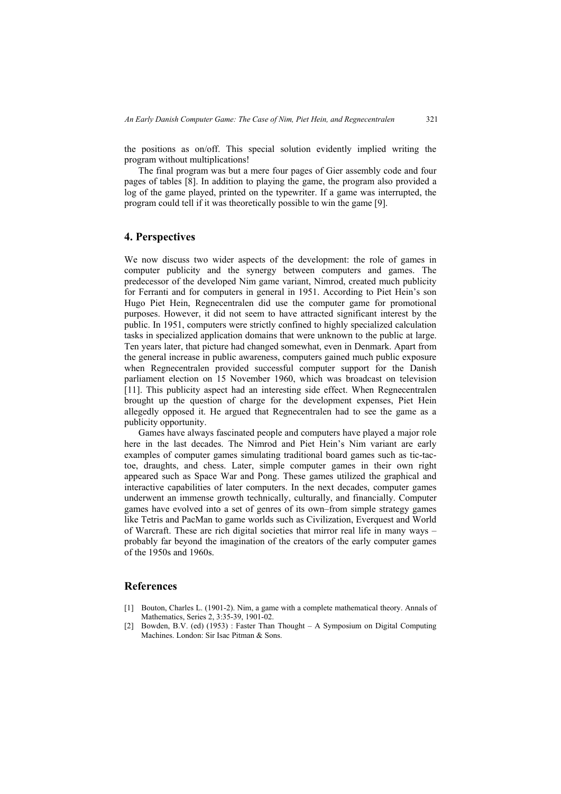the positions as on/off. This special solution evidently implied writing the program without multiplications!

The final program was but a mere four pages of Gier assembly code and four pages of tables [8]. In addition to playing the game, the program also provided a log of the game played, printed on the typewriter. If a game was interrupted, the program could tell if it was theoretically possible to win the game [9].

### **4. Perspectives**

We now discuss two wider aspects of the development: the role of games in computer publicity and the synergy between computers and games. The predecessor of the developed Nim game variant, Nimrod, created much publicity for Ferranti and for computers in general in 1951. According to Piet Hein's son Hugo Piet Hein, Regnecentralen did use the computer game for promotional purposes. However, it did not seem to have attracted significant interest by the public. In 1951, computers were strictly confined to highly specialized calculation tasks in specialized application domains that were unknown to the public at large. Ten years later, that picture had changed somewhat, even in Denmark. Apart from the general increase in public awareness, computers gained much public exposure when Regnecentralen provided successful computer support for the Danish parliament election on 15 November 1960, which was broadcast on television [11]. This publicity aspect had an interesting side effect. When Regnecentralen brought up the question of charge for the development expenses, Piet Hein allegedly opposed it. He argued that Regnecentralen had to see the game as a publicity opportunity.

Games have always fascinated people and computers have played a major role here in the last decades. The Nimrod and Piet Hein's Nim variant are early examples of computer games simulating traditional board games such as tic-tactoe, draughts, and chess. Later, simple computer games in their own right appeared such as Space War and Pong. These games utilized the graphical and interactive capabilities of later computers. In the next decades, computer games underwent an immense growth technically, culturally, and financially. Computer games have evolved into a set of genres of its own–from simple strategy games like Tetris and PacMan to game worlds such as Civilization, Everquest and World of Warcraft. These are rich digital societies that mirror real life in many ways *–* probably far beyond the imagination of the creators of the early computer games of the 1950s and 1960s.

#### **References**

- [1] Bouton, Charles L. (1901-2). Nim, a game with a complete mathematical theory. Annals of Mathematics, Series 2, 3:35-39, 1901-02.
- [2] Bowden, B.V. (ed) (1953) : Faster Than Thought A Symposium on Digital Computing Machines. London: Sir Isac Pitman & Sons.